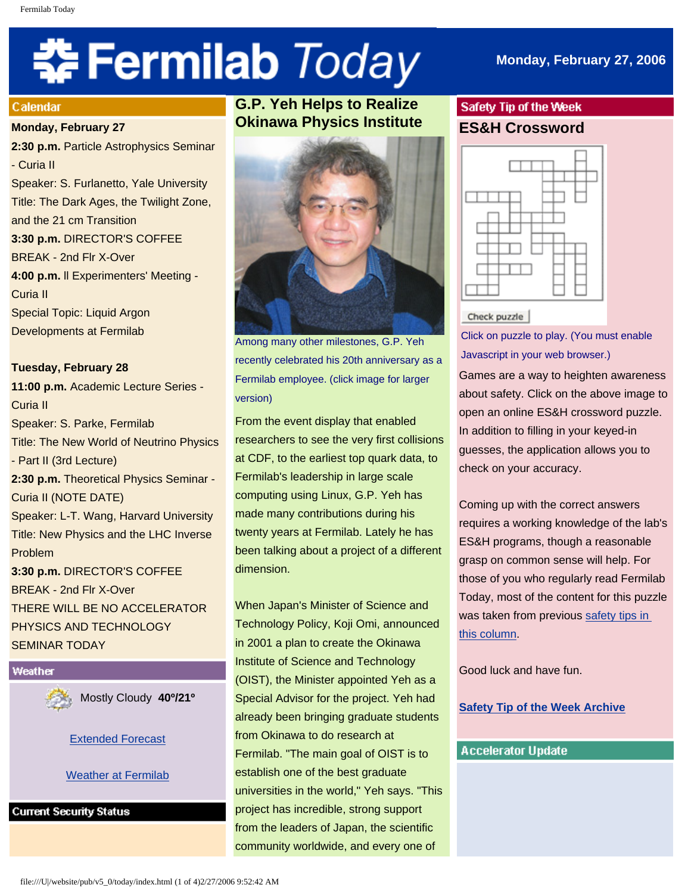# 축 Fermilab Today

#### **Calendar**

#### **Monday, February 27**

**2:30 p.m.** Particle Astrophysics Seminar - Curia II Speaker: S. Furlanetto, Yale University Title: The Dark Ages, the Twilight Zone, and the 21 cm Transition **3:30 p.m.** DIRECTOR'S COFFEE BREAK - 2nd Flr X-Over **4:00 p.m.** ll Experimenters' Meeting - Curia II Special Topic: Liquid Argon Developments at Fermilab

**Tuesday, February 28 11:00 p.m.** Academic Lecture Series - Curia II Speaker: S. Parke, Fermilab Title: The New World of Neutrino Physics - Part II (3rd Lecture) **2:30 p.m.** Theoretical Physics Seminar - Curia II (NOTE DATE) Speaker: L-T. Wang, Harvard University Title: New Physics and the LHC Inverse Problem **3:30 p.m.** DIRECTOR'S COFFEE BREAK - 2nd Flr X-Over THERE WILL BE NO ACCELERATOR PHYSICS AND TECHNOLOGY SEMINAR TODAY



Mostly Cloudy **40º/21º**

[Extended Forecast](http://www.srh.noaa.gov/data/forecasts/ILZ012.php?warncounty=ILC089&city=Batavia)

**[Weather at Fermilab](http://www-esh.fnal.gov/pls/default/weather.html)** 

**Current Security Status** 

# **G.P. Yeh Helps to Realize Okinawa Physics Institute**



Among many other milestones, G.P. Yeh recently celebrated his 20th anniversary as a Fermilab employee. (click image for larger version)

From the event display that enabled researchers to see the very first collisions at CDF, to the earliest top quark data, to Fermilab's leadership in large scale computing using Linux, G.P. Yeh has made many contributions during his twenty years at Fermilab. Lately he has been talking about a project of a different dimension.

When Japan's Minister of Science and Technology Policy, Koji Omi, announced in 2001 a plan to create the Okinawa Institute of Science and Technology (OIST), the Minister appointed Yeh as a Special Advisor for the project. Yeh had already been bringing graduate students from Okinawa to do research at Fermilab. "The main goal of OIST is to establish one of the best graduate universities in the world," Yeh says. "This project has incredible, strong support from the leaders of Japan, the scientific community worldwide, and every one of

# Safety Tip of the Week **ES&H Crossword**



Check puzzle

Click on puzzle to play. (You must enable Javascript in your web browser.)

Games are a way to heighten awareness about safety. Click on the above image to open an online ES&H crossword puzzle. In addition to filling in your keyed-in guesses, the application allows you to check on your accuracy.

Coming up with the correct answers requires a working knowledge of the lab's ES&H programs, though a reasonable grasp on common sense will help. For those of you who regularly read Fermilab Today, most of the content for this puzzle was taken from previous [safety tips in](http://www.fnal.gov/pub/today/safety/index.html) [this column.](http://www.fnal.gov/pub/today/safety/index.html)

Good luck and have fun.

**[Safety Tip of the Week Archive](http://www.fnal.gov/pub/today/safety/index.html)**

## **Accelerator Update**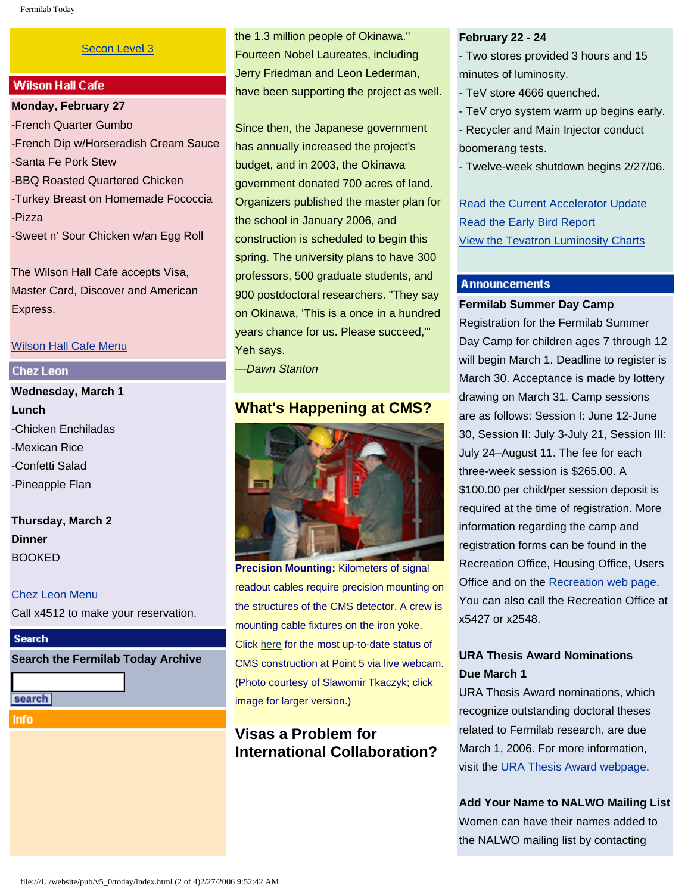#### [Secon Level 3](http://www.fnal.gov/pub/about/public_affairs/currentstatus.html)

## **Wilson Hall Cafe**

**Monday, February 27** -French Quarter Gumbo -French Dip w/Horseradish Cream Sauce -Santa Fe Pork Stew -BBQ Roasted Quartered Chicken -Turkey Breast on Homemade Fococcia -Pizza -Sweet n' Sour Chicken w/an Egg Roll

The Wilson Hall Cafe accepts Visa, Master Card, Discover and American Express.

#### [Wilson Hall Cafe Menu](http://lss.fnal.gov/cafe/)

#### **Chez Leon**

**Wednesday, March 1 Lunch** -Chicken Enchiladas -Mexican Rice -Confetti Salad -Pineapple Flan

**Thursday, March 2 Dinner**  BOOKED

[Chez Leon Menu](http://lss.fnal.gov/chezleon/index.html)

Call x4512 to make your reservation.

#### **Search**

**Search the Fermilab Today Archive**

search

**Info** 

the 1.3 million people of Okinawa." Fourteen Nobel Laureates, including Jerry Friedman and Leon Lederman, have been supporting the project as well.

Since then, the Japanese government has annually increased the project's budget, and in 2003, the Okinawa government donated 700 acres of land. Organizers published the master plan for the school in January 2006, and construction is scheduled to begin this spring. The university plans to have 300 professors, 500 graduate students, and 900 postdoctoral researchers. "They say on Okinawa, 'This is a once in a hundred years chance for us. Please succeed,'" Yeh says.

—*Dawn Stanton*

## **What's Happening at CMS?**



**Precision Mounting:** Kilometers of signal readout cables require precision mounting on the structures of the CMS detector. A crew is mounting cable fixtures on the iron yoke. Click [here](http://cmsinfo.cern.ch/outreach/cmseye/index.html) for the most up-to-date status of CMS construction at Point 5 via live webcam. (Photo courtesy of Slawomir Tkaczyk; click image for larger version.)

# **Visas a Problem for International Collaboration?**

#### **February 22 - 24**

- Two stores provided 3 hours and 15 minutes of luminosity.
- TeV store 4666 quenched.
- TeV cryo system warm up begins early.
- Recycler and Main Injector conduct boomerang tests.
- Twelve-week shutdown begins 2/27/06.

[Read the Current Accelerator Update](http://www.fnal.gov/pub/news06/update.html) [Read the Early Bird Report](http://www-bd.fnal.gov/earlybird/ebird.html) [View the Tevatron Luminosity Charts](http://www.fnal.gov/pub/now/tevlum.html)

#### **Announcements**

#### **Fermilab Summer Day Camp**

Registration for the Fermilab Summer Day Camp for children ages 7 through 12 will begin March 1. Deadline to register is March 30. Acceptance is made by lottery drawing on March 31. Camp sessions are as follows: Session I: June 12-June 30, Session II: July 3-July 21, Session III: July 24–August 11. The fee for each three-week session is \$265.00. A \$100.00 per child/per session deposit is required at the time of registration. More information regarding the camp and registration forms can be found in the Recreation Office, Housing Office, Users Office and on the [Recreation web page.](http://lss.fnal.gov/recreation/dependent.html) You can also call the Recreation Office at x5427 or x2548.

## **URA Thesis Award Nominations Due March 1**

URA Thesis Award nominations, which recognize outstanding doctoral theses related to Fermilab research, are due March 1, 2006. For more information, visit the [URA Thesis Award webpage.](http://www.fnal.gov/pub/forphysicists/fellowships/thesis.html)

**Add Your Name to NALWO Mailing List** Women can have their names added to the NALWO mailing list by contacting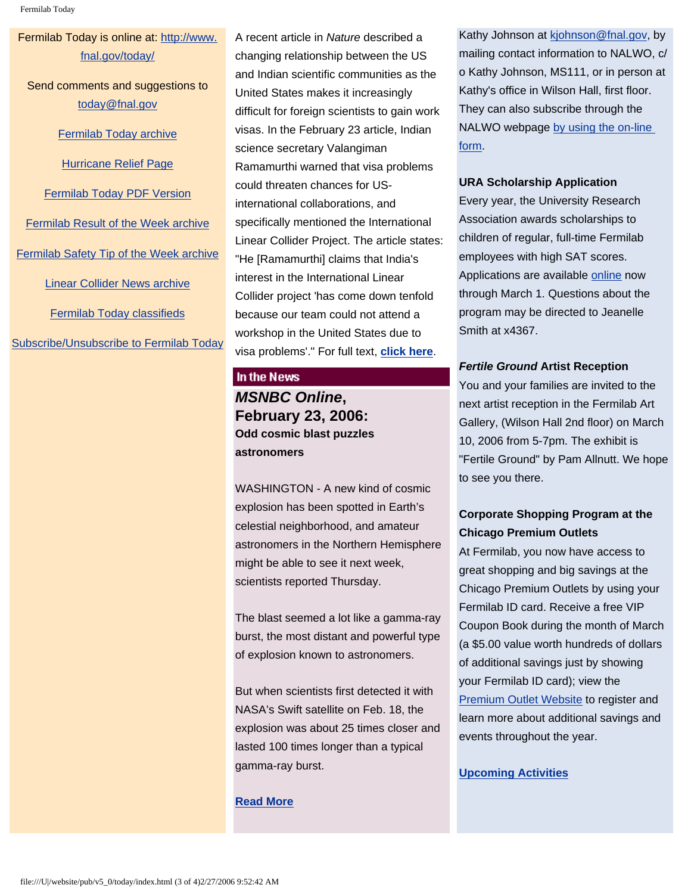Fermilab Today

## Fermilab Today is online at: [http://www.](http://www.fnal.gov/today/) [fnal.gov/today/](http://www.fnal.gov/today/)

Send comments and suggestions to [today@fnal.gov](mailto:today@fnal.gov)

[Fermilab Today archive](http://www.fnal.gov/pub/today/archive.html)

[Hurricane Relief Page](http://www.fnal.gov/pub/today/katrina_relief.html)

[Fermilab Today PDF Version](http://www.fnal.gov/pub/today/archive.html)

[Fermilab Result of the Week archive](http://www.fnal.gov/pub/today/resultoftheweek/index.html) [Fermilab Safety Tip of the Week archive](http://www.fnal.gov/pub/today/safety/index.html) [Linear Collider News archive](http://www.fnal.gov/pub/today/linearcollider/index.html)

[Fermilab Today classifieds](http://www.fnal.gov/pub/today/classifieds.html)

[Subscribe/Unsubscribe to Fermilab Today](http://www.fnal.gov/pub/today/subscription.html)

A recent article in *Nature* described a changing relationship between the US and Indian scientific communities as the United States makes it increasingly difficult for foreign scientists to gain work visas. In the February 23 article, Indian science secretary Valangiman Ramamurthi warned that visa problems could threaten chances for USinternational collaborations, and specifically mentioned the International Linear Collider Project. The article states: "He [Ramamurthi] claims that India's interest in the International Linear Collider project 'has come down tenfold because our team could not attend a workshop in the United States due to visa problems'." For full text, **[click here](http://www.nature.com/nature/journal/v439/n7079/full/439901a.html)**.

#### In the News

# *MSNBC Online***, February 23, 2006: Odd cosmic blast puzzles astronomers**

WASHINGTON - A new kind of cosmic explosion has been spotted in Earth's celestial neighborhood, and amateur astronomers in the Northern Hemisphere might be able to see it next week, scientists reported Thursday.

The blast seemed a lot like a gamma-ray burst, the most distant and powerful type of explosion known to astronomers.

But when scientists first detected it with NASA's Swift satellite on Feb. 18, the explosion was about 25 times closer and lasted 100 times longer than a typical gamma-ray burst.

## **[Read More](http://www.msnbc.msn.com/id/11528523/)**

Kathy Johnson at [kjohnson@fnal.gov,](mailto:kjohnson@fnal.gov) by mailing contact information to NALWO, c/ o Kathy Johnson, MS111, or in person at Kathy's office in Wilson Hall, first floor. They can also subscribe through the NALWO webpage [by using the on-line](http://www.fnal.gov/orgs/nalwo/)  [form](http://www.fnal.gov/orgs/nalwo/).

#### **URA Scholarship Application**

Every year, the University Research Association awards scholarships to children of regular, full-time Fermilab employees with high SAT scores. Applications are available [online](http://lss.fnal.gov/section/URAscholarship.html) now through March 1. Questions about the program may be directed to Jeanelle Smith at x4367.

## *Fertile Ground* **Artist Reception**

You and your families are invited to the next artist reception in the Fermilab Art Gallery, (Wilson Hall 2nd floor) on March 10, 2006 from 5-7pm. The exhibit is "Fertile Ground" by Pam Allnutt. We hope to see you there.

## **Corporate Shopping Program at the Chicago Premium Outlets**

At Fermilab, you now have access to great shopping and big savings at the Chicago Premium Outlets by using your Fermilab ID card. Receive a free VIP Coupon Book during the month of March (a \$5.00 value worth hundreds of dollars of additional savings just by showing your Fermilab ID card); view the [Premium Outlet Website](http://www.premiumoutlets.com/vip) to register and learn more about additional savings and events throughout the year.

## **[Upcoming Activities](http://www.fnal.gov/pub/today/upcoming_activities.html)**